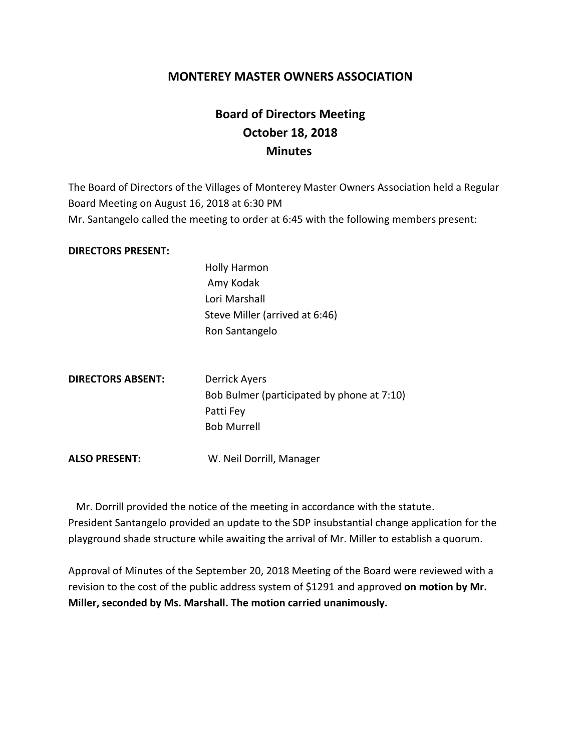## **MONTEREY MASTER OWNERS ASSOCIATION**

## **Board of Directors Meeting October 18, 2018 Minutes**

The Board of Directors of the Villages of Monterey Master Owners Association held a Regular Board Meeting on August 16, 2018 at 6:30 PM Mr. Santangelo called the meeting to order at 6:45 with the following members present:

## **DIRECTORS PRESENT:**

Holly Harmon Amy Kodak Lori Marshall Steve Miller (arrived at 6:46) Ron Santangelo

| <b>DIRECTORS ABSENT:</b> | Derrick Ayers                              |
|--------------------------|--------------------------------------------|
|                          | Bob Bulmer (participated by phone at 7:10) |
|                          | Patti Fey                                  |
|                          | <b>Bob Murrell</b>                         |
|                          |                                            |

**ALSO PRESENT:** W. Neil Dorrill, Manager

 Mr. Dorrill provided the notice of the meeting in accordance with the statute. President Santangelo provided an update to the SDP insubstantial change application for the playground shade structure while awaiting the arrival of Mr. Miller to establish a quorum.

Approval of Minutes of the September 20, 2018 Meeting of the Board were reviewed with a revision to the cost of the public address system of \$1291 and approved **on motion by Mr. Miller, seconded by Ms. Marshall. The motion carried unanimously.**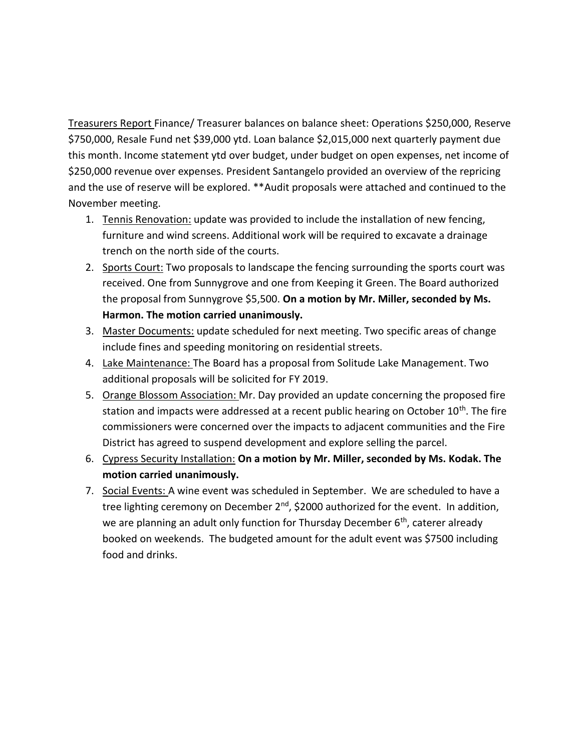Treasurers Report Finance/ Treasurer balances on balance sheet: Operations \$250,000, Reserve \$750,000, Resale Fund net \$39,000 ytd. Loan balance \$2,015,000 next quarterly payment due this month. Income statement ytd over budget, under budget on open expenses, net income of \$250,000 revenue over expenses. President Santangelo provided an overview of the repricing and the use of reserve will be explored. \*\*Audit proposals were attached and continued to the November meeting.

- 1. Tennis Renovation: update was provided to include the installation of new fencing, furniture and wind screens. Additional work will be required to excavate a drainage trench on the north side of the courts.
- 2. Sports Court: Two proposals to landscape the fencing surrounding the sports court was received. One from Sunnygrove and one from Keeping it Green. The Board authorized the proposal from Sunnygrove \$5,500. **On a motion by Mr. Miller, seconded by Ms. Harmon. The motion carried unanimously.**
- 3. Master Documents: update scheduled for next meeting. Two specific areas of change include fines and speeding monitoring on residential streets.
- 4. Lake Maintenance: The Board has a proposal from Solitude Lake Management. Two additional proposals will be solicited for FY 2019.
- 5. Orange Blossom Association: Mr. Day provided an update concerning the proposed fire station and impacts were addressed at a recent public hearing on October 10<sup>th</sup>. The fire commissioners were concerned over the impacts to adjacent communities and the Fire District has agreed to suspend development and explore selling the parcel.
- 6. Cypress Security Installation: **On a motion by Mr. Miller, seconded by Ms. Kodak. The motion carried unanimously.**
- 7. Social Events: A wine event was scheduled in September. We are scheduled to have a tree lighting ceremony on December  $2^{nd}$ , \$2000 authorized for the event. In addition, we are planning an adult only function for Thursday December 6<sup>th</sup>, caterer already booked on weekends. The budgeted amount for the adult event was \$7500 including food and drinks.